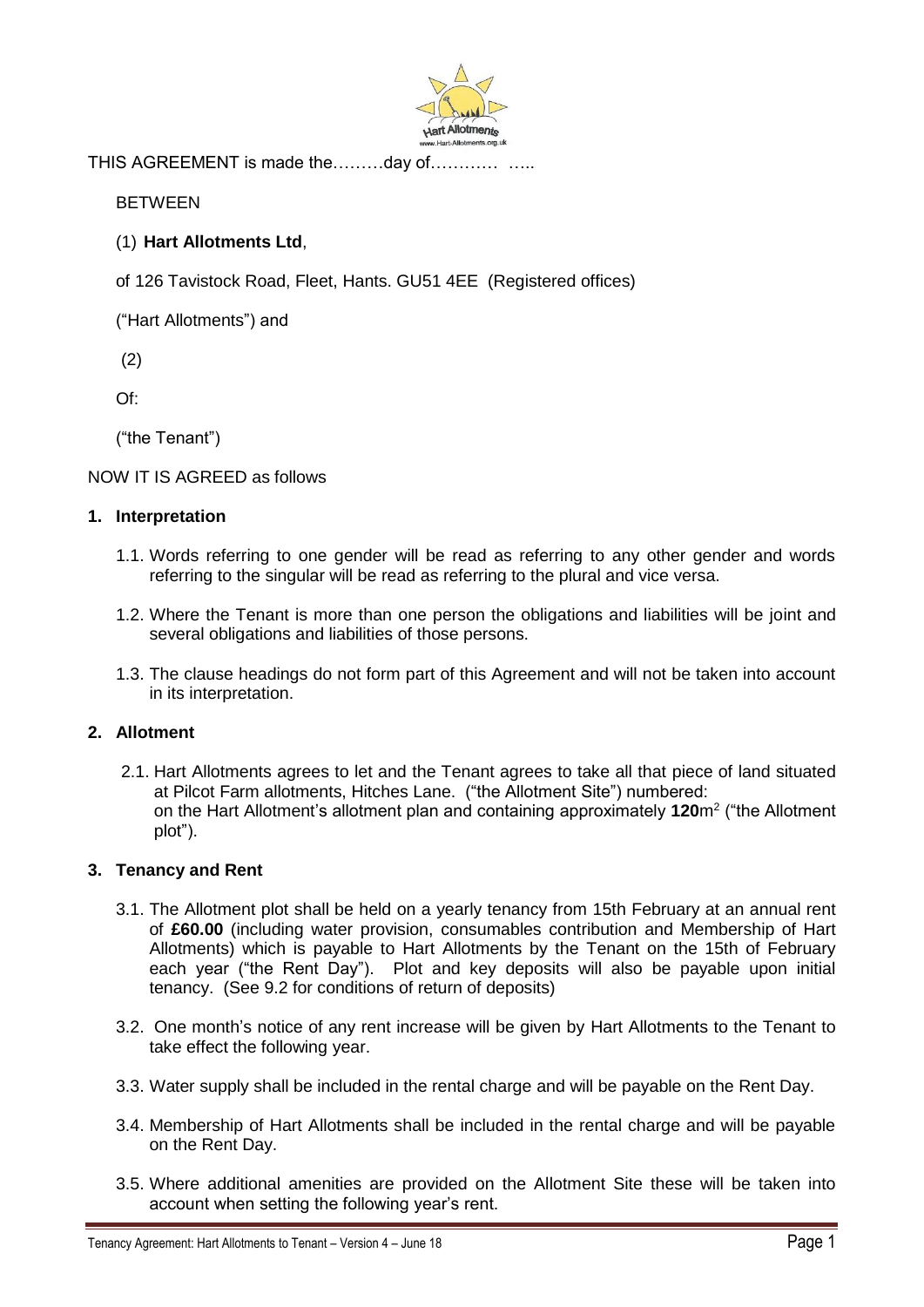

THIS AGREEMENT is made the………day of………… …..

**BETWEEN** 

# (1) **Hart Allotments Ltd**,

of 126 Tavistock Road, Fleet, Hants. GU51 4EE (Registered offices)

("Hart Allotments") and

(2)

Of:

("the Tenant")

## NOW IT IS AGREED as follows

#### **1. Interpretation**

- 1.1. Words referring to one gender will be read as referring to any other gender and words referring to the singular will be read as referring to the plural and vice versa.
- 1.2. Where the Tenant is more than one person the obligations and liabilities will be joint and several obligations and liabilities of those persons.
- 1.3. The clause headings do not form part of this Agreement and will not be taken into account in its interpretation.

### **2. Allotment**

2.1. Hart Allotments agrees to let and the Tenant agrees to take all that piece of land situated at Pilcot Farm allotments, Hitches Lane. ("the Allotment Site") numbered: on the Hart Allotment's allotment plan and containing approximately **120**m<sup>2</sup> ("the Allotment plot").

### **3. Tenancy and Rent**

- 3.1. The Allotment plot shall be held on a yearly tenancy from 15th February at an annual rent of **£60.00** (including water provision, consumables contribution and Membership of Hart Allotments) which is payable to Hart Allotments by the Tenant on the 15th of February each year ("the Rent Day"). Plot and key deposits will also be payable upon initial tenancy. (See 9.2 for conditions of return of deposits)
- 3.2. One month's notice of any rent increase will be given by Hart Allotments to the Tenant to take effect the following year.
- 3.3. Water supply shall be included in the rental charge and will be payable on the Rent Day.
- 3.4. Membership of Hart Allotments shall be included in the rental charge and will be payable on the Rent Day.
- 3.5. Where additional amenities are provided on the Allotment Site these will be taken into account when setting the following year's rent.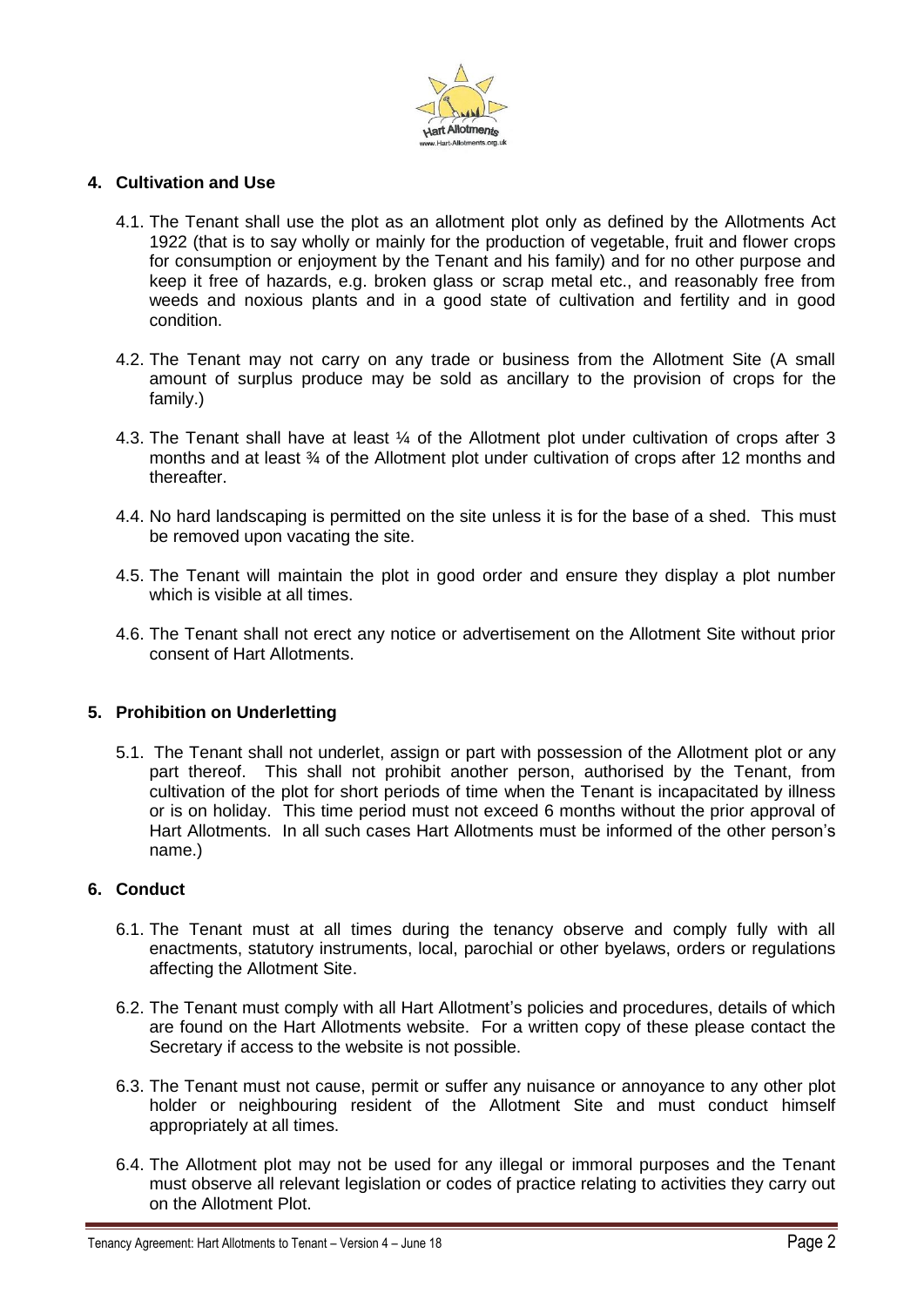

## **4. Cultivation and Use**

- 4.1. The Tenant shall use the plot as an allotment plot only as defined by the Allotments Act 1922 (that is to say wholly or mainly for the production of vegetable, fruit and flower crops for consumption or enjoyment by the Tenant and his family) and for no other purpose and keep it free of hazards, e.g. broken glass or scrap metal etc., and reasonably free from weeds and noxious plants and in a good state of cultivation and fertility and in good condition.
- 4.2. The Tenant may not carry on any trade or business from the Allotment Site (A small amount of surplus produce may be sold as ancillary to the provision of crops for the family.)
- 4.3. The Tenant shall have at least 1/4 of the Allotment plot under cultivation of crops after 3 months and at least ¾ of the Allotment plot under cultivation of crops after 12 months and thereafter.
- 4.4. No hard landscaping is permitted on the site unless it is for the base of a shed. This must be removed upon vacating the site.
- 4.5. The Tenant will maintain the plot in good order and ensure they display a plot number which is visible at all times.
- 4.6. The Tenant shall not erect any notice or advertisement on the Allotment Site without prior consent of Hart Allotments.

### **5. Prohibition on Underletting**

5.1. The Tenant shall not underlet, assign or part with possession of the Allotment plot or any part thereof. This shall not prohibit another person, authorised by the Tenant, from cultivation of the plot for short periods of time when the Tenant is incapacitated by illness or is on holiday. This time period must not exceed 6 months without the prior approval of Hart Allotments. In all such cases Hart Allotments must be informed of the other person's name.)

### **6. Conduct**

- 6.1. The Tenant must at all times during the tenancy observe and comply fully with all enactments, statutory instruments, local, parochial or other byelaws, orders or regulations affecting the Allotment Site.
- 6.2. The Tenant must comply with all Hart Allotment's policies and procedures, details of which are found on the Hart Allotments website. For a written copy of these please contact the Secretary if access to the website is not possible.
- 6.3. The Tenant must not cause, permit or suffer any nuisance or annoyance to any other plot holder or neighbouring resident of the Allotment Site and must conduct himself appropriately at all times.
- 6.4. The Allotment plot may not be used for any illegal or immoral purposes and the Tenant must observe all relevant legislation or codes of practice relating to activities they carry out on the Allotment Plot.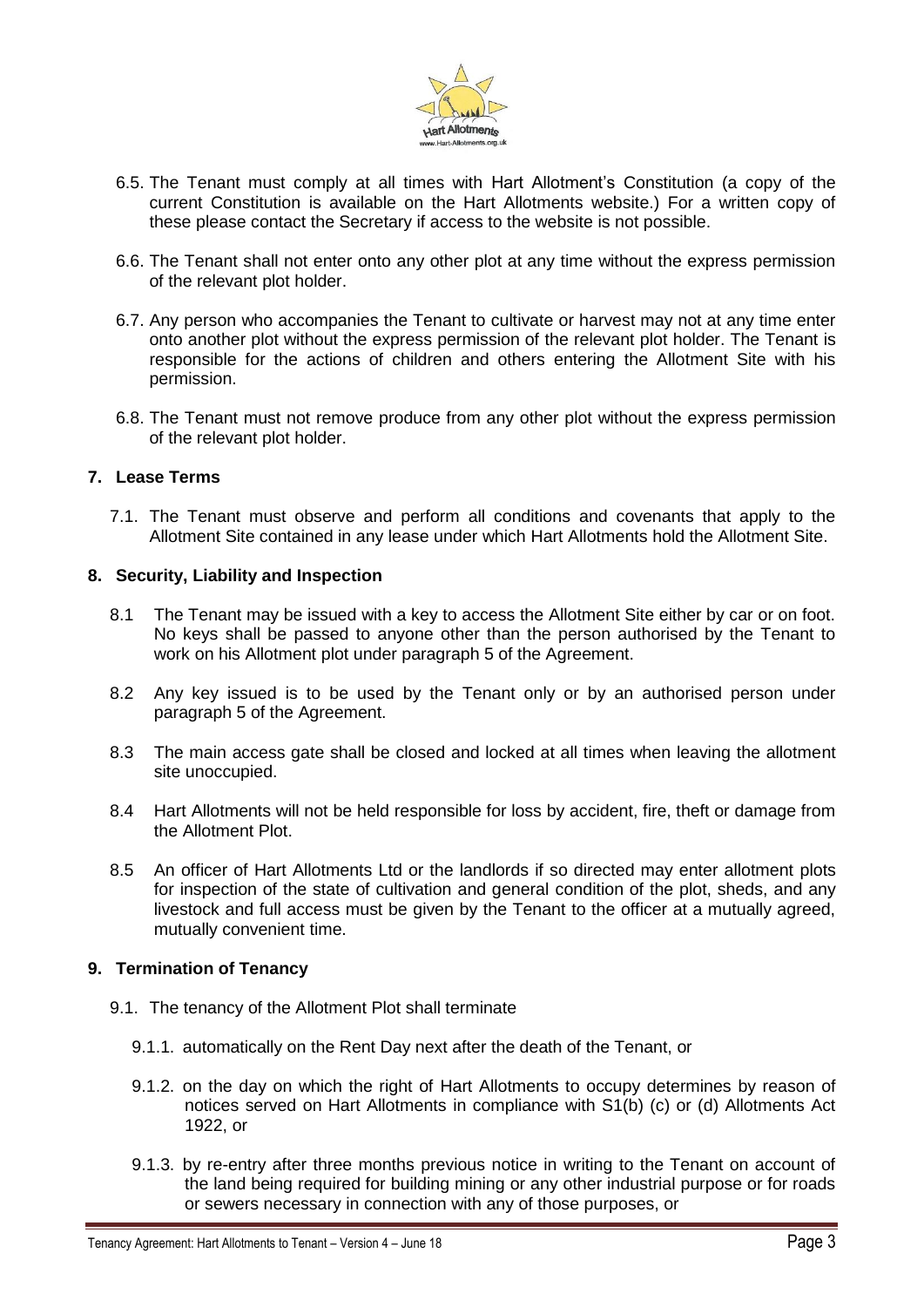

- 6.5. The Tenant must comply at all times with Hart Allotment's Constitution (a copy of the current Constitution is available on the Hart Allotments website.) For a written copy of these please contact the Secretary if access to the website is not possible.
- 6.6. The Tenant shall not enter onto any other plot at any time without the express permission of the relevant plot holder.
- 6.7. Any person who accompanies the Tenant to cultivate or harvest may not at any time enter onto another plot without the express permission of the relevant plot holder. The Tenant is responsible for the actions of children and others entering the Allotment Site with his permission.
- 6.8. The Tenant must not remove produce from any other plot without the express permission of the relevant plot holder.

## **7. Lease Terms**

7.1. The Tenant must observe and perform all conditions and covenants that apply to the Allotment Site contained in any lease under which Hart Allotments hold the Allotment Site.

#### **8. Security, Liability and Inspection**

- 8.1 The Tenant may be issued with a key to access the Allotment Site either by car or on foot. No keys shall be passed to anyone other than the person authorised by the Tenant to work on his Allotment plot under paragraph 5 of the Agreement.
- 8.2 Any key issued is to be used by the Tenant only or by an authorised person under paragraph 5 of the Agreement.
- 8.3 The main access gate shall be closed and locked at all times when leaving the allotment site unoccupied.
- 8.4 Hart Allotments will not be held responsible for loss by accident, fire, theft or damage from the Allotment Plot.
- 8.5 An officer of Hart Allotments Ltd or the landlords if so directed may enter allotment plots for inspection of the state of cultivation and general condition of the plot, sheds, and any livestock and full access must be given by the Tenant to the officer at a mutually agreed, mutually convenient time.

### **9. Termination of Tenancy**

- 9.1. The tenancy of the Allotment Plot shall terminate
	- 9.1.1. automatically on the Rent Day next after the death of the Tenant, or
	- 9.1.2. on the day on which the right of Hart Allotments to occupy determines by reason of notices served on Hart Allotments in compliance with S1(b) (c) or (d) Allotments Act 1922, or
	- 9.1.3. by re-entry after three months previous notice in writing to the Tenant on account of the land being required for building mining or any other industrial purpose or for roads or sewers necessary in connection with any of those purposes, or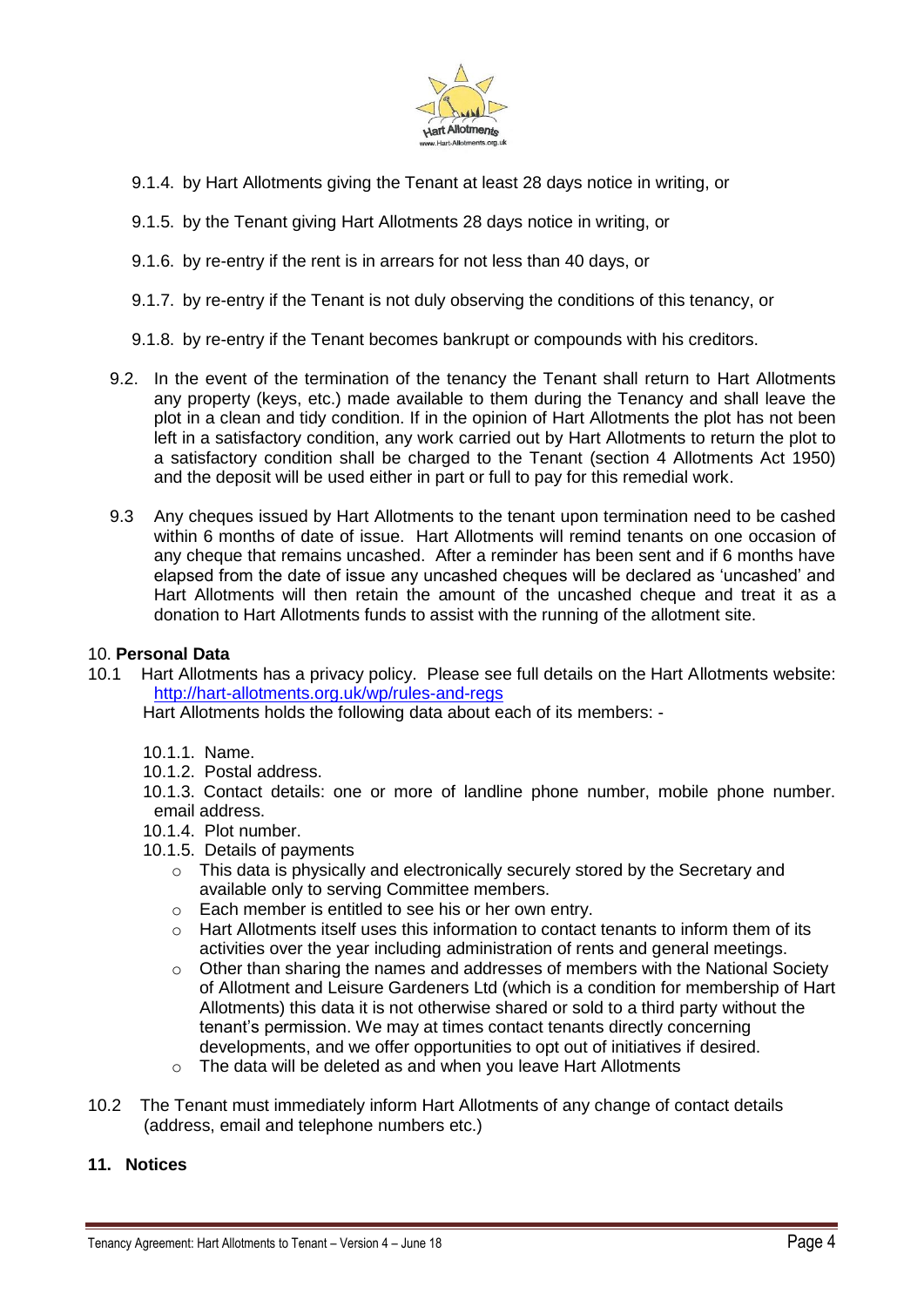

- 9.1.4. by Hart Allotments giving the Tenant at least 28 days notice in writing, or
- 9.1.5. by the Tenant giving Hart Allotments 28 days notice in writing, or
- 9.1.6. by re-entry if the rent is in arrears for not less than 40 days, or
- 9.1.7. by re-entry if the Tenant is not duly observing the conditions of this tenancy, or
- 9.1.8. by re-entry if the Tenant becomes bankrupt or compounds with his creditors.
- 9.2. In the event of the termination of the tenancy the Tenant shall return to Hart Allotments any property (keys, etc.) made available to them during the Tenancy and shall leave the plot in a clean and tidy condition. If in the opinion of Hart Allotments the plot has not been left in a satisfactory condition, any work carried out by Hart Allotments to return the plot to a satisfactory condition shall be charged to the Tenant (section 4 Allotments Act 1950) and the deposit will be used either in part or full to pay for this remedial work.
- 9.3 Any cheques issued by Hart Allotments to the tenant upon termination need to be cashed within 6 months of date of issue. Hart Allotments will remind tenants on one occasion of any cheque that remains uncashed. After a reminder has been sent and if 6 months have elapsed from the date of issue any uncashed cheques will be declared as 'uncashed' and Hart Allotments will then retain the amount of the uncashed cheque and treat it as a donation to Hart Allotments funds to assist with the running of the allotment site.

### 10. **Personal Data**

10.1 Hart Allotments has a privacy policy. Please see full details on the Hart Allotments website: <http://hart-allotments.org.uk/wp/rules-and-regs>

Hart Allotments holds the following data about each of its members: -

- 10.1.1. Name.
- 10.1.2. Postal address.
- 10.1.3. Contact details: one or more of landline phone number, mobile phone number. email address.
- 10.1.4. Plot number.
- 10.1.5. Details of payments
	- $\circ$  This data is physically and electronically securely stored by the Secretary and available only to serving Committee members.
	- o Each member is entitled to see his or her own entry.
	- $\circ$  Hart Allotments itself uses this information to contact tenants to inform them of its activities over the year including administration of rents and general meetings.
	- $\circ$  Other than sharing the names and addresses of members with the National Society of Allotment and Leisure Gardeners Ltd (which is a condition for membership of Hart Allotments) this data it is not otherwise shared or sold to a third party without the tenant's permission. We may at times contact tenants directly concerning developments, and we offer opportunities to opt out of initiatives if desired.
	- o The data will be deleted as and when you leave Hart Allotments
- 10.2The Tenant must immediately inform Hart Allotments of any change of contact details (address, email and telephone numbers etc.)

## **11. Notices**